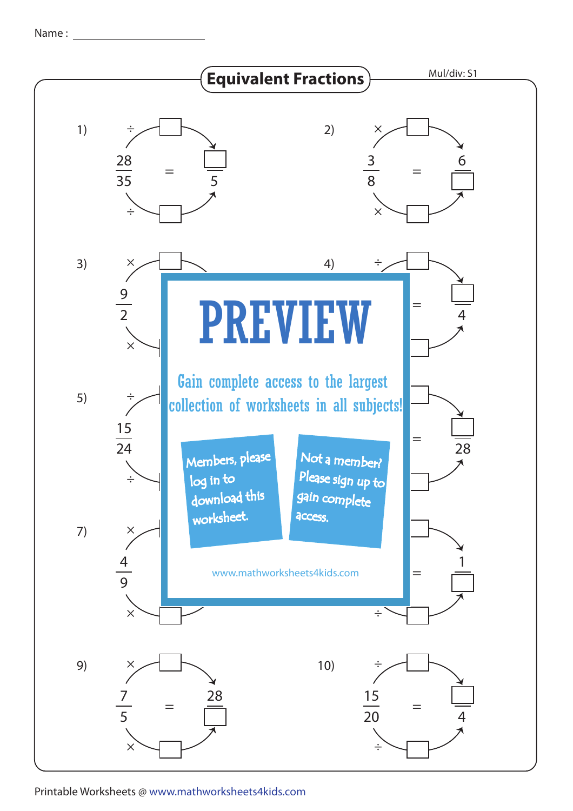